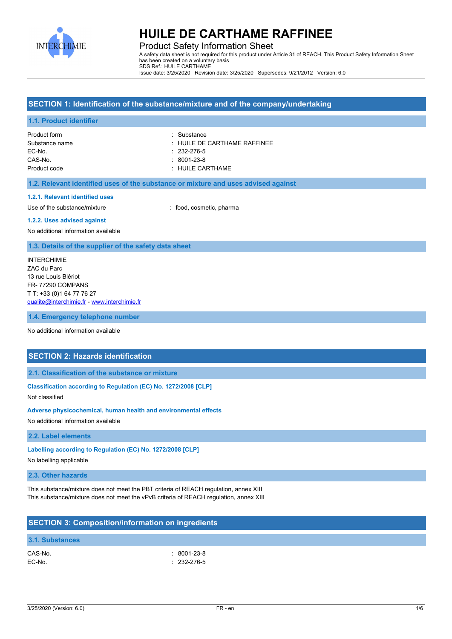

Product Safety Information Sheet A safety data sheet is not required for this product under Article 31 of REACH. This Product Safety Information Sheet has been created on a voluntary basis SDS Ref.: HUILE CARTHAME Issue date: 3/25/2020 Revision date: 3/25/2020 Supersedes: 9/21/2012 Version: 6.0

## **SECTION 1: Identification of the substance/mixture and of the company/undertaking**

#### **1.1. Product identifier**

Product form : Substance EC-No. : 232-276-5 CAS-No. : 8001-23-8 Product code : HUILE CARTHAME

Substance name **in the substance of the substance name**  $\ddot{\phantom{a}}$ : HUILE DE CARTHAME RAFFINEE

#### **1.2. Relevant identified uses of the substance or mixture and uses advised against**

#### **1.2.1. Relevant identified uses**

Use of the substance/mixture in the substance/mixture in the substance of the substance of the substance of the substance of the substance of the substance of the substance of the substance of the substance of the substanc

#### **1.2.2. Uses advised against**

No additional information available

### **1.3. Details of the supplier of the safety data sheet**

INTERCHIMIE ZAC du Parc 13 rue Louis Blériot FR- 77290 COMPANS T T: +33 (0)1 64 77 76 27 [qualite@interchimie.fr](mailto:qualite@interchimie.fr) - <www.interchimie.fr>

### **1.4. Emergency telephone number**

No additional information available

## **SECTION 2: Hazards identification**

### **2.1. Classification of the substance or mixture**

#### **Classification according to Regulation (EC) No. 1272/2008 [CLP]**

Not classified

### **Adverse physicochemical, human health and environmental effects**

No additional information available

### **2.2. Label elements**

### **Labelling according to Regulation (EC) No. 1272/2008 [CLP]**

No labelling applicable

#### **2.3. Other hazards**

This substance/mixture does not meet the PBT criteria of REACH regulation, annex XIII This substance/mixture does not meet the vPvB criteria of REACH regulation, annex XIII

## **SECTION 3: Composition/information on ingredients 3.1. Substances** CAS-No. : 8001-23-8 EC-No. : 232-276-5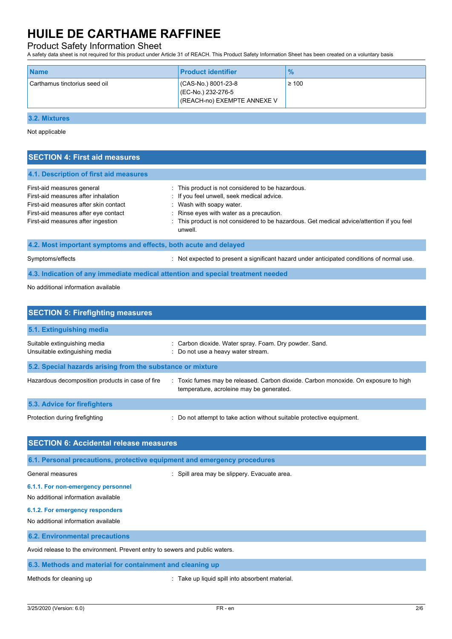## Product Safety Information Sheet

A safety data sheet is not required for this product under Article 31 of REACH. This Product Safety Information Sheet has been created on a voluntary basis

| CAS-No.) 8001-23-8<br>$\geq 100$<br>Carthamus tinctorius seed oil<br>(EC-No.) 232-276-5 | <b>Name</b> | <b>Product identifier</b>   | $\%$ |
|-----------------------------------------------------------------------------------------|-------------|-----------------------------|------|
|                                                                                         |             | (REACH-no) EXEMPTE ANNEXE V |      |

**3.2. Mixtures**

Not applicable

| <b>SECTION 4: First aid measures</b>                                                                                                                                                     |                                                                                                                                                                                                                                                                                  |  |  |
|------------------------------------------------------------------------------------------------------------------------------------------------------------------------------------------|----------------------------------------------------------------------------------------------------------------------------------------------------------------------------------------------------------------------------------------------------------------------------------|--|--|
| 4.1. Description of first aid measures                                                                                                                                                   |                                                                                                                                                                                                                                                                                  |  |  |
| First-aid measures general<br>First-aid measures after inhalation<br>First-aid measures after skin contact<br>First-aid measures after eye contact<br>First-aid measures after ingestion | : This product is not considered to be hazardous.<br>: If you feel unwell, seek medical advice.<br>: Wash with soapy water.<br>: Rinse eyes with water as a precaution.<br>: This product is not considered to be hazardous. Get medical advice/attention if you feel<br>unwell. |  |  |
| 4.2. Most important symptoms and effects, both acute and delayed                                                                                                                         |                                                                                                                                                                                                                                                                                  |  |  |
| Symptoms/effects                                                                                                                                                                         | Not expected to present a significant hazard under anticipated conditions of normal use.                                                                                                                                                                                         |  |  |
| 4.3. Indication of any immediate medical attention and special treatment needed                                                                                                          |                                                                                                                                                                                                                                                                                  |  |  |

No additional information available

| <b>SECTION 5: Firefighting measures</b>                        |                                                                                                                                 |  |  |  |
|----------------------------------------------------------------|---------------------------------------------------------------------------------------------------------------------------------|--|--|--|
| 5.1. Extinguishing media                                       |                                                                                                                                 |  |  |  |
| Suitable extinguishing media<br>Unsuitable extinguishing media | : Carbon dioxide. Water spray. Foam. Dry powder. Sand.<br>: Do not use a heavy water stream.                                    |  |  |  |
| 5.2. Special hazards arising from the substance or mixture     |                                                                                                                                 |  |  |  |
| Hazardous decomposition products in case of fire               | : Toxic fumes may be released. Carbon dioxide. Carbon monoxide. On exposure to high<br>temperature, acroleine may be generated. |  |  |  |
| 5.3. Advice for firefighters                                   |                                                                                                                                 |  |  |  |
| Protection during firefighting                                 | : Do not attempt to take action without suitable protective equipment.                                                          |  |  |  |
| <b>SECTION 6: Accidental release measures</b>                  |                                                                                                                                 |  |  |  |

| 6.1. Personal precautions, protective equipment and emergency procedures     |                                                 |  |  |
|------------------------------------------------------------------------------|-------------------------------------------------|--|--|
| General measures                                                             | : Spill area may be slippery. Evacuate area.    |  |  |
| 6.1.1. For non-emergency personnel<br>No additional information available    |                                                 |  |  |
| 6.1.2. For emergency responders<br>No additional information available       |                                                 |  |  |
| <b>6.2. Environmental precautions</b>                                        |                                                 |  |  |
| Avoid release to the environment. Prevent entry to sewers and public waters. |                                                 |  |  |
| 6.3. Methods and material for containment and cleaning up                    |                                                 |  |  |
| Methods for cleaning up                                                      | : Take up liquid spill into absorbent material. |  |  |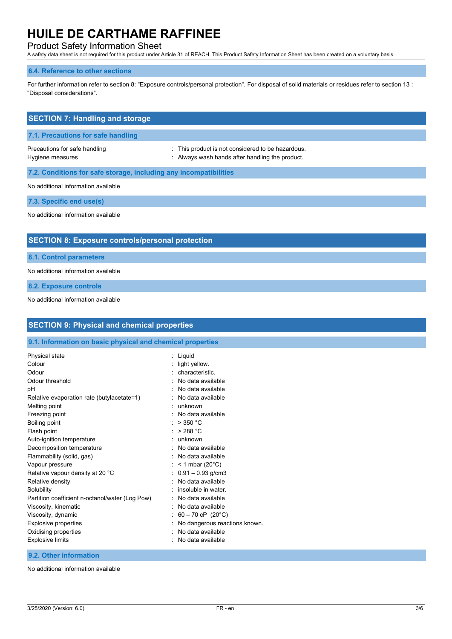## Product Safety Information Sheet

A safety data sheet is not required for this product under Article 31 of REACH. This Product Safety Information Sheet has been created on a voluntary basis

## **6.4. Reference to other sections**

For further information refer to section 8: "Exposure controls/personal protection". For disposal of solid materials or residues refer to section 13 : "Disposal considerations".

| <b>SECTION 7: Handling and storage</b>                            |                                                                                                      |  |  |
|-------------------------------------------------------------------|------------------------------------------------------------------------------------------------------|--|--|
| 7.1. Precautions for safe handling                                |                                                                                                      |  |  |
| Precautions for safe handling<br>Hygiene measures                 | : This product is not considered to be hazardous.<br>: Always wash hands after handling the product. |  |  |
| 7.2. Conditions for safe storage, including any incompatibilities |                                                                                                      |  |  |
| No additional information available                               |                                                                                                      |  |  |
| 7.3. Specific end use(s)                                          |                                                                                                      |  |  |
| No additional information available                               |                                                                                                      |  |  |
|                                                                   |                                                                                                      |  |  |
| <b>SECTION 8: Exposure controls/personal protection</b>           |                                                                                                      |  |  |
| <b>8.1. Control parameters</b>                                    |                                                                                                      |  |  |
| No additional information available                               |                                                                                                      |  |  |

**8.2. Exposure controls**

No additional information available

| <b>SECTION 9: Physical and chemical properties</b>         |                                 |  |  |
|------------------------------------------------------------|---------------------------------|--|--|
| 9.1. Information on basic physical and chemical properties |                                 |  |  |
| Physical state                                             | : Liquid                        |  |  |
| Colour                                                     | light yellow.                   |  |  |
| Odour                                                      | : characteristic.               |  |  |
| Odour threshold                                            | No data available               |  |  |
| рH                                                         | : No data available             |  |  |
| Relative evaporation rate (butylacetate=1)                 | : No data available             |  |  |
| Melting point                                              | : unknown                       |  |  |
| Freezing point                                             | : No data available             |  |  |
| Boiling point                                              | : $>350 °C$                     |  |  |
| Flash point                                                | : $>288^{\circ}$ C              |  |  |
| Auto-ignition temperature                                  | : unknown                       |  |  |
| Decomposition temperature                                  | : No data available             |  |  |
| Flammability (solid, gas)                                  | : No data available             |  |  |
| Vapour pressure                                            | : $<$ 1 mbar (20 $^{\circ}$ C)  |  |  |
| Relative vapour density at 20 °C                           | $: 0.91 - 0.93$ g/cm3           |  |  |
| Relative density                                           | : No data available             |  |  |
| Solubility                                                 | : insoluble in water.           |  |  |
| Partition coefficient n-octanol/water (Log Pow)            | No data available               |  |  |
| Viscosity, kinematic                                       | : No data available             |  |  |
| Viscosity, dynamic                                         | : $60 - 70$ cP (20°C)           |  |  |
| <b>Explosive properties</b>                                | : No dangerous reactions known. |  |  |
| Oxidising properties                                       | No data available               |  |  |
| <b>Explosive limits</b>                                    | : No data available             |  |  |
| 9.2. Other information                                     |                                 |  |  |

No additional information available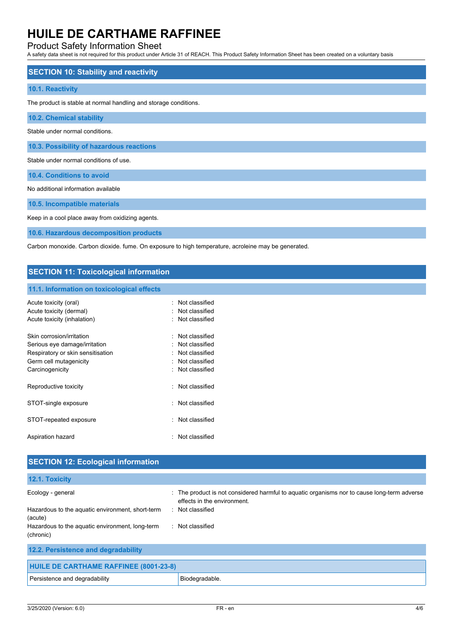## Product Safety Information Sheet

A safety data sheet is not required for this product under Article 31 of REACH. This Product Safety Information Sheet has been created on a voluntary basis

| <b>SECTION 10: Stability and reactivity</b>                      |
|------------------------------------------------------------------|
| 10.1. Reactivity                                                 |
| The product is stable at normal handling and storage conditions. |
| <b>10.2. Chemical stability</b>                                  |
| Stable under normal conditions.                                  |
| 10.3. Possibility of hazardous reactions                         |
| Stable under normal conditions of use.                           |
| 10.4. Conditions to avoid                                        |
| No additional information available                              |
| 10.5. Incompatible materials                                     |

Keep in a cool place away from oxidizing agents.

**10.6. Hazardous decomposition products**

Carbon monoxide. Carbon dioxide. fume. On exposure to high temperature, acroleine may be generated.

## **SECTION 11: Toxicological information**

### **11.1. Information on toxicological effects**

| Acute toxicity (oral)             | . Not classified |
|-----------------------------------|------------------|
| Acute toxicity (dermal)           | : Not classified |
| Acute toxicity (inhalation)       | : Not classified |
|                                   |                  |
| Skin corrosion/irritation         | Not classified   |
| Serious eye damage/irritation     | . Not classified |
| Respiratory or skin sensitisation | Not classified   |
| Germ cell mutagenicity            | : Not classified |
| Carcinogenicity                   | : Not classified |
| Reproductive toxicity             | Not classified   |
| STOT-single exposure              | Not classified   |
| STOT-repeated exposure            | Not classified   |
| Aspiration hazard                 | Not classified   |

| <b>SECTION 12: Ecological information</b>                    |                                                                                                                            |
|--------------------------------------------------------------|----------------------------------------------------------------------------------------------------------------------------|
| 12.1. Toxicity                                               |                                                                                                                            |
| Ecology - general                                            | : The product is not considered harmful to aquatic organisms nor to cause long-term adverse<br>effects in the environment. |
| Hazardous to the aquatic environment, short-term<br>(acute)  | Not classified<br>х.                                                                                                       |
| Hazardous to the aquatic environment, long-term<br>(chronic) | Not classified<br>$\bullet$                                                                                                |
| 12.2. Persistence and degradability                          |                                                                                                                            |
|                                                              |                                                                                                                            |

| <b>HUILE DE CARTHAME RAFFINEE (8001-23-8)</b> |                |  |
|-----------------------------------------------|----------------|--|
| Persistence and degradability                 | Biodegradable. |  |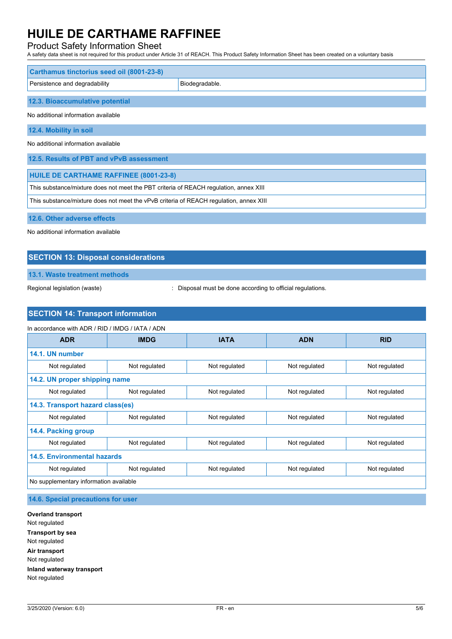## Product Safety Information Sheet

A safety data sheet is not required for this product under Article 31 of REACH. This Product Safety Information Sheet has been created on a voluntary basis

| Carthamus tinctorius seed oil (8001-23-8)                                             |                |  |  |
|---------------------------------------------------------------------------------------|----------------|--|--|
| Persistence and degradability                                                         | Biodegradable. |  |  |
| 12.3. Bioaccumulative potential                                                       |                |  |  |
| No additional information available                                                   |                |  |  |
| 12.4. Mobility in soil                                                                |                |  |  |
| No additional information available                                                   |                |  |  |
| 12.5. Results of PBT and vPvB assessment                                              |                |  |  |
| HUILE DE CARTHAME RAFFINEE (8001-23-8)                                                |                |  |  |
| This substance/mixture does not meet the PBT criteria of REACH regulation, annex XIII |                |  |  |

This substance/mixture does not meet the vPvB criteria of REACH regulation, annex XIII

**12.6. Other adverse effects**

No additional information available

## **SECTION 13: Disposal considerations**

**13.1. Waste treatment methods**

Regional legislation (waste)  $\qquad \qquad$ : Disposal must be done according to official regulations.

## **SECTION 14: Transport information**

| In accordance with ADR / RID / IMDG / IATA / ADN |               |               |               |               |
|--------------------------------------------------|---------------|---------------|---------------|---------------|
| <b>ADR</b>                                       | <b>IMDG</b>   | <b>IATA</b>   | <b>ADN</b>    | <b>RID</b>    |
| 14.1. UN number                                  |               |               |               |               |
| Not regulated                                    | Not regulated | Not regulated | Not regulated | Not regulated |
| 14.2. UN proper shipping name                    |               |               |               |               |
| Not regulated                                    | Not regulated | Not regulated | Not regulated | Not regulated |
| 14.3. Transport hazard class(es)                 |               |               |               |               |
| Not regulated                                    | Not regulated | Not regulated | Not regulated | Not regulated |
| 14.4. Packing group                              |               |               |               |               |
| Not regulated                                    | Not regulated | Not regulated | Not regulated | Not regulated |
| 14.5. Environmental hazards                      |               |               |               |               |
| Not regulated                                    | Not regulated | Not regulated | Not regulated | Not regulated |
| No supplementary information available           |               |               |               |               |

**14.6. Special precautions for user**

**Overland transport** Not regulated **Transport by sea** Not regulated **Air transport** Not regulated **Inland waterway transport** Not regulated